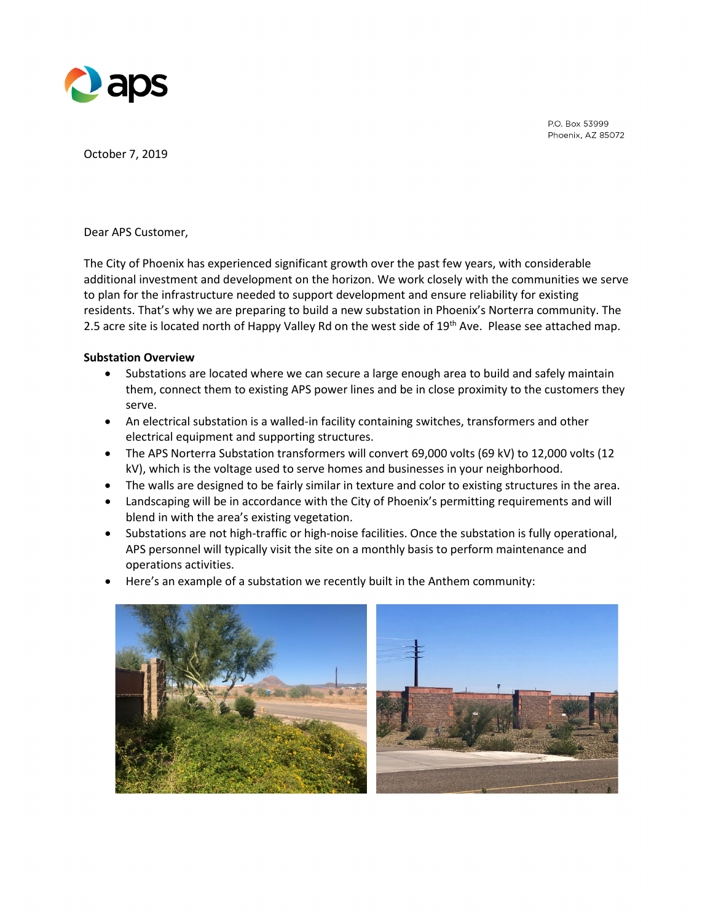

P.O. Box 53999 Phoenix, AZ 85072

October 7, 2019

Dear APS Customer,

The City of Phoenix has experienced significant growth over the past few years, with considerable additional investment and development on the horizon. We work closely with the communities we serve to plan for the infrastructure needed to support development and ensure reliability for existing residents. That's why we are preparing to build a new substation in Phoenix's Norterra community. The 2.5 acre site is located north of Happy Valley Rd on the west side of 19<sup>th</sup> Ave. Please see attached map.

#### **Substation Overview**

- Substations are located where we can secure a large enough area to build and safely maintain them, connect them to existing APS power lines and be in close proximity to the customers they serve.
- An electrical substation is a walled-in facility containing switches, transformers and other electrical equipment and supporting structures.
- The APS Norterra Substation transformers will convert 69,000 volts (69 kV) to 12,000 volts (12 kV), which is the voltage used to serve homes and businesses in your neighborhood.
- The walls are designed to be fairly similar in texture and color to existing structures in the area.
- Landscaping will be in accordance with the City of Phoenix's permitting requirements and will blend in with the area's existing vegetation.
- Substations are not high-traffic or high-noise facilities. Once the substation is fully operational, APS personnel will typically visit the site on a monthly basis to perform maintenance and operations activities.
- Here's an example of a substation we recently built in the Anthem community:

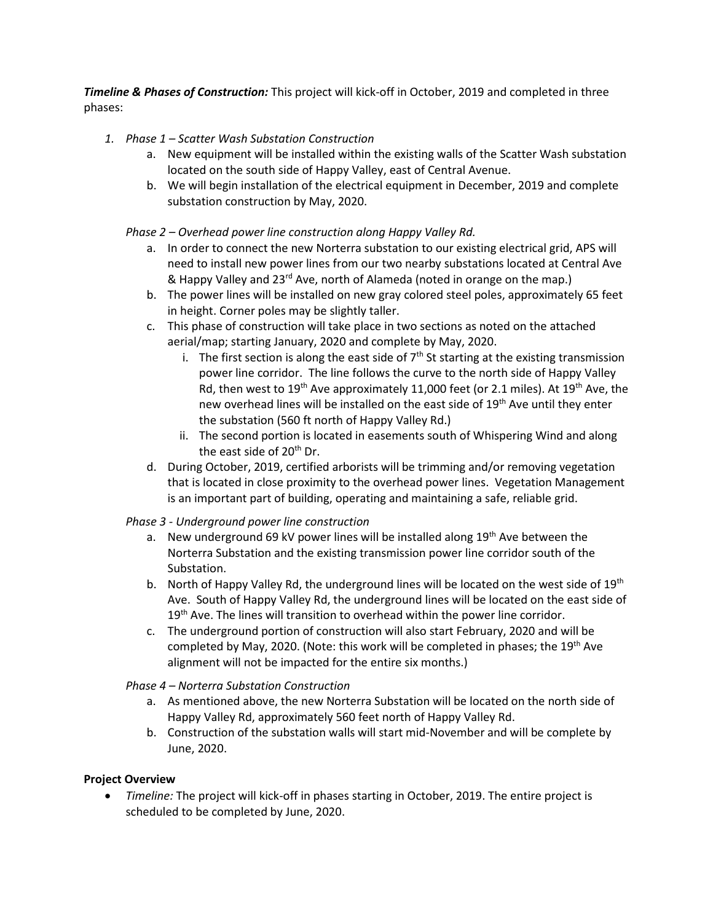*Timeline & Phases of Construction:* This project will kick-off in October, 2019 and completed in three phases:

- *1. Phase 1 – Scatter Wash Substation Construction*
	- a. New equipment will be installed within the existing walls of the Scatter Wash substation located on the south side of Happy Valley, east of Central Avenue.
	- b. We will begin installation of the electrical equipment in December, 2019 and complete substation construction by May, 2020.

### *Phase 2 – Overhead power line construction along Happy Valley Rd.*

- a. In order to connect the new Norterra substation to our existing electrical grid, APS will need to install new power lines from our two nearby substations located at Central Ave & Happy Valley and 23<sup>rd</sup> Ave, north of Alameda (noted in orange on the map.)
- b. The power lines will be installed on new gray colored steel poles, approximately 65 feet in height. Corner poles may be slightly taller.
- c. This phase of construction will take place in two sections as noted on the attached aerial/map; starting January, 2020 and complete by May, 2020.
	- i. The first section is along the east side of  $7<sup>th</sup>$  St starting at the existing transmission power line corridor. The line follows the curve to the north side of Happy Valley Rd, then west to 19<sup>th</sup> Ave approximately 11,000 feet (or 2.1 miles). At 19<sup>th</sup> Ave, the new overhead lines will be installed on the east side of 19<sup>th</sup> Ave until they enter the substation (560 ft north of Happy Valley Rd.)
	- ii. The second portion is located in easements south of Whispering Wind and along the east side of 20<sup>th</sup> Dr.
- d. During October, 2019, certified arborists will be trimming and/or removing vegetation that is located in close proximity to the overhead power lines. Vegetation Management is an important part of building, operating and maintaining a safe, reliable grid.

### *Phase 3 - Underground power line construction*

- a. New underground 69 kV power lines will be installed along  $19<sup>th</sup>$  Ave between the Norterra Substation and the existing transmission power line corridor south of the Substation.
- b. North of Happy Valley Rd, the underground lines will be located on the west side of  $19<sup>th</sup>$ Ave. South of Happy Valley Rd, the underground lines will be located on the east side of 19<sup>th</sup> Ave. The lines will transition to overhead within the power line corridor.
- c. The underground portion of construction will also start February, 2020 and will be completed by May, 2020. (Note: this work will be completed in phases; the 19<sup>th</sup> Ave alignment will not be impacted for the entire six months.)

# *Phase 4 – Norterra Substation Construction*

- a. As mentioned above, the new Norterra Substation will be located on the north side of Happy Valley Rd, approximately 560 feet north of Happy Valley Rd.
- b. Construction of the substation walls will start mid-November and will be complete by June, 2020.

# **Project Overview**

• *Timeline:* The project will kick-off in phases starting in October, 2019. The entire project is scheduled to be completed by June, 2020.